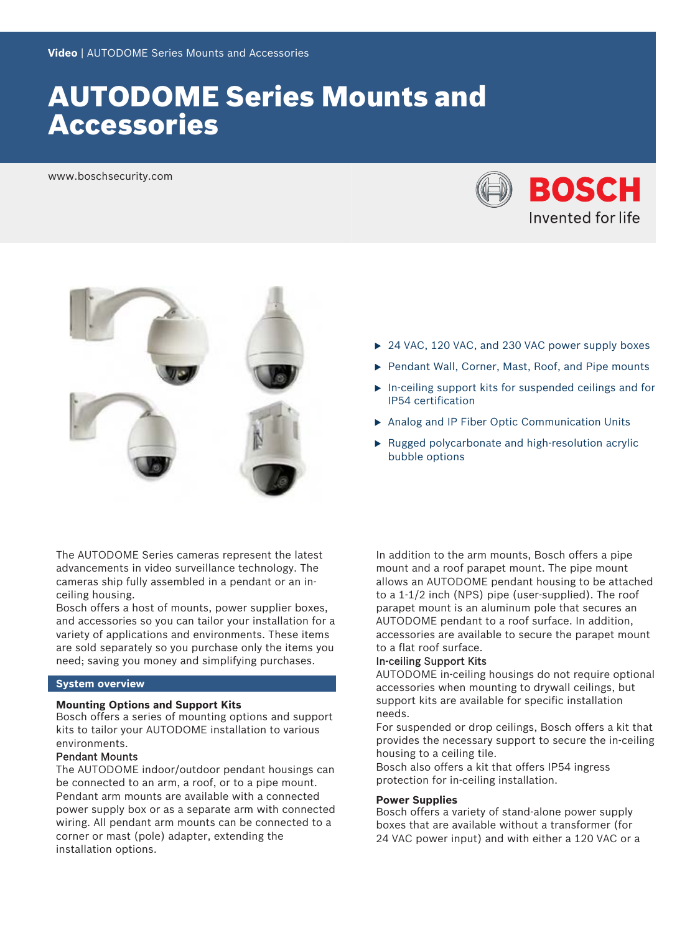# AUTODOME Series Mounts and Accessories

www.boschsecurity.com





- ▶ 24 VAC, 120 VAC, and 230 VAC power supply boxes
- Pendant Wall, Corner, Mast, Roof, and Pipe mounts
- $\blacktriangleright$  In-ceiling support kits for suspended ceilings and for IP54 certification
- ▶ Analog and IP Fiber Optic Communication Units
- $\blacktriangleright$  Rugged polycarbonate and high-resolution acrylic bubble options

The AUTODOME Series cameras represent the latest advancements in video surveillance technology. The cameras ship fully assembled in a pendant or an inceiling housing.

Bosch offers a host of mounts, power supplier boxes, and accessories so you can tailor your installation for a variety of applications and environments. These items are sold separately so you purchase only the items you need; saving you money and simplifying purchases.

### **System overview**

#### **Mounting Options and Support Kits**

Bosch offers a series of mounting options and support kits to tailor your AUTODOME installation to various environments.

# Pendant Mounts

The AUTODOME indoor/outdoor pendant housings can be connected to an arm, a roof, or to a pipe mount. Pendant arm mounts are available with a connected power supply box or as a separate arm with connected wiring. All pendant arm mounts can be connected to a corner or mast (pole) adapter, extending the installation options.

In addition to the arm mounts, Bosch offers a pipe mount and a roof parapet mount. The pipe mount allows an AUTODOME pendant housing to be attached to a 1-1/2 inch (NPS) pipe (user-supplied). The roof parapet mount is an aluminum pole that secures an AUTODOME pendant to a roof surface. In addition, accessories are available to secure the parapet mount to a flat roof surface.

#### In-ceiling Support Kits

AUTODOME in-ceiling housings do not require optional accessories when mounting to drywall ceilings, but support kits are available for specific installation needs.

For suspended or drop ceilings, Bosch offers a kit that provides the necessary support to secure the in-ceiling housing to a ceiling tile.

Bosch also offers a kit that offers IP54 ingress protection for in-ceiling installation.

#### **Power Supplies**

Bosch offers a variety of stand-alone power supply boxes that are available without a transformer (for 24 VAC power input) and with either a 120 VAC or a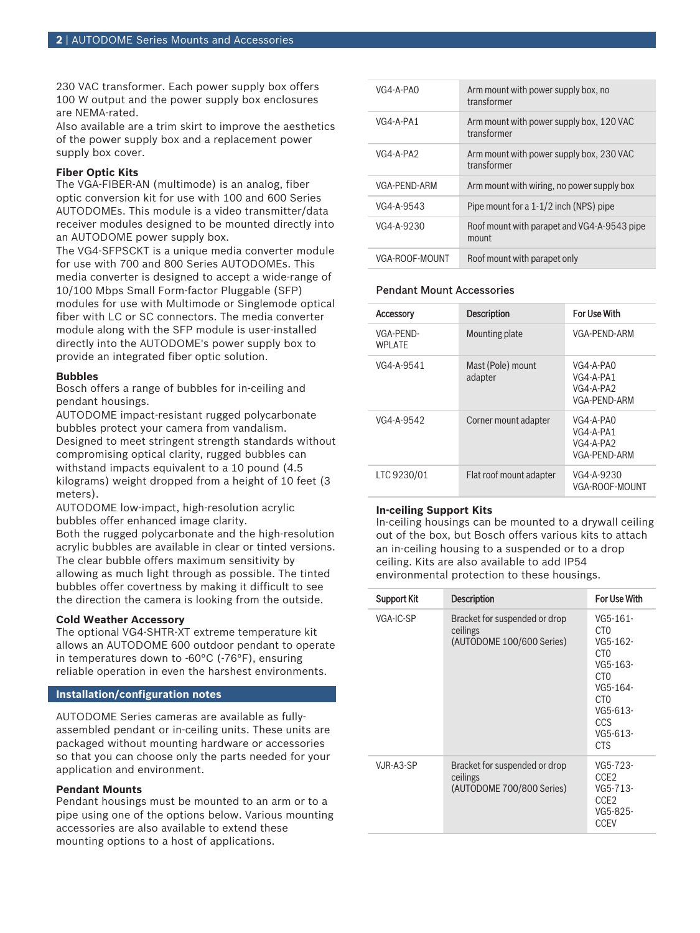230 VAC transformer. Each power supply box offers 100 W output and the power supply box enclosures are NEMA-rated.

Also available are a trim skirt to improve the aesthetics of the power supply box and a replacement power supply box cover.

#### **Fiber Optic Kits**

The VGA-FIBER-AN (multimode) is an analog, fiber optic conversion kit for use with 100 and 600 Series AUTODOMEs. This module is a video transmitter/data receiver modules designed to be mounted directly into an AUTODOME power supply box.

The VG4-SFPSCKT is a unique media converter module for use with 700 and 800 Series AUTODOMEs. This media converter is designed to accept a wide-range of 10/100 Mbps Small Form-factor Pluggable (SFP) modules for use with Multimode or Singlemode optical fiber with LC or SC connectors. The media converter module along with the SFP module is user-installed directly into the AUTODOME's power supply box to provide an integrated fiber optic solution.

#### **Bubbles**

Bosch offers a range of bubbles for in-ceiling and pendant housings.

AUTODOME impact-resistant rugged polycarbonate bubbles protect your camera from vandalism. Designed to meet stringent strength standards without compromising optical clarity, rugged bubbles can withstand impacts equivalent to a 10 pound (4.5 kilograms) weight dropped from a height of 10 feet (3 meters).

AUTODOME low-impact, high-resolution acrylic bubbles offer enhanced image clarity.

Both the rugged polycarbonate and the high-resolution acrylic bubbles are available in clear or tinted versions. The clear bubble offers maximum sensitivity by allowing as much light through as possible. The tinted bubbles offer covertness by making it difficult to see the direction the camera is looking from the outside.

#### **Cold Weather Accessory**

The optional VG4-SHTR-XT extreme temperature kit allows an AUTODOME 600 outdoor pendant to operate in temperatures down to -60°C (-76°F), ensuring reliable operation in even the harshest environments.

# **Installation/configuration notes**

AUTODOME Series cameras are available as fullyassembled pendant or in-ceiling units. These units are packaged without mounting hardware or accessories so that you can choose only the parts needed for your application and environment.

#### **Pendant Mounts**

Pendant housings must be mounted to an arm or to a pipe using one of the options below. Various mounting accessories are also available to extend these mounting options to a host of applications.

| VG4-A-PAO      | Arm mount with power supply box, no<br>transformer      |
|----------------|---------------------------------------------------------|
| $VG4-A-PA1$    | Arm mount with power supply box, 120 VAC<br>transformer |
| VG4-A-PA2      | Arm mount with power supply box, 230 VAC<br>transformer |
| VGA-PFND-ARM   | Arm mount with wiring, no power supply box              |
| VG4-A-9543     | Pipe mount for a $1-1/2$ inch (NPS) pipe                |
| VG4-A-9230     | Roof mount with parapet and VG4-A-9543 pipe<br>mount    |
| VGA-ROOF-MOUNT | Roof mount with parapet only                            |

### Pendant Mount Accessories

| <b>Accessory</b>            | <b>Description</b>           | For Use With                                          |
|-----------------------------|------------------------------|-------------------------------------------------------|
| VGA-PFND-<br><b>WPI ATF</b> | Mounting plate               | VGA-PFND-ARM                                          |
| VG4-A-9541                  | Mast (Pole) mount<br>adapter | VG4-A-PAO<br>VG4-A-PA1<br>VG4-A-PA2<br>VGA-PFND-ARM   |
| VG4-A-9542                  | Corner mount adapter         | VG4-A-PAO<br>VG4-A-PA1<br>$VG4-A-PA2$<br>VGA-PFND-ARM |
| LTC 9230/01                 | Flat roof mount adapter      | VG4-A-9230<br>VGA-ROOF-MOUNT                          |

#### **In-ceiling Support Kits**

In-ceiling housings can be mounted to a drywall ceiling out of the box, but Bosch offers various kits to attach an in-ceiling housing to a suspended or to a drop ceiling. Kits are also available to add IP54 environmental protection to these housings.

| Support Kit | <b>Description</b>                                                     | For Use With                                                                                                                                                            |
|-------------|------------------------------------------------------------------------|-------------------------------------------------------------------------------------------------------------------------------------------------------------------------|
| VGA-IC-SP   | Bracket for suspended or drop<br>ceilings<br>(AUTODOME 100/600 Series) | VG5-161-<br>CT <sub>0</sub><br>VG5-162-<br>CT <sub>0</sub><br>VG5-163-<br>CT <sub>0</sub><br>VG5-164-<br>CT <sub>0</sub><br>VG5-613-<br>CCS<br>$VG5-613-$<br><b>CTS</b> |
| VJR-A3-SP   | Bracket for suspended or drop<br>ceilings<br>(AUTODOME 700/800 Series) | VG5-723-<br>CCE <sub>2</sub><br>VG5-713-<br>CCE <sub>2</sub><br>VG5-825-<br><b>CCEV</b>                                                                                 |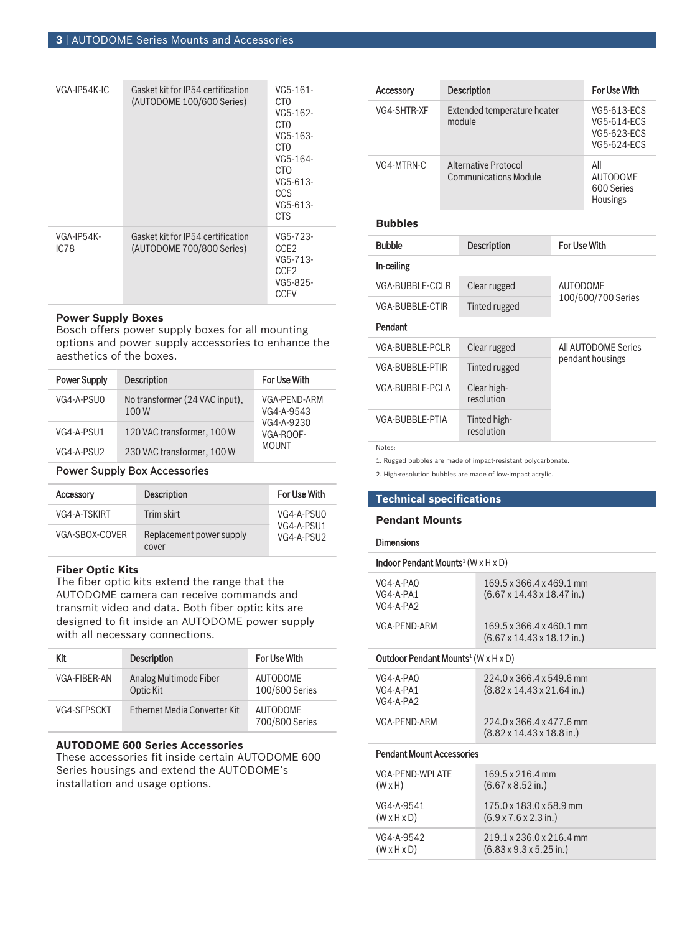| VGA-IP54K-IC       | Gasket kit for IP54 certification<br>(AUTODOME 100/600 Series) | VG5-161-<br>CT0<br>VG5-162-<br>CT0<br>VG5-163-<br>C <sub>T</sub> O<br>VG5-164-<br>CTO<br>VG5-613-<br>CCS<br>$VG5-613-$<br><b>CTS</b> |
|--------------------|----------------------------------------------------------------|--------------------------------------------------------------------------------------------------------------------------------------|
| VGA-IP54K-<br>IC78 | Gasket kit for IP54 certification<br>(AUTODOME 700/800 Series) | VG5-723-<br>CCE <sub>2</sub><br>VG5-713-<br>CCE <sub>2</sub><br>VG5-825-<br><b>CCEV</b>                                              |

# **Power Supply Boxes**

Bosch offers power supply boxes for all mounting options and power supply accessories to enhance the aesthetics of the boxes.

| <b>Power Supply</b> | <b>Description</b>                     | <b>For Use With</b>        |
|---------------------|----------------------------------------|----------------------------|
| VG4-A-PSU0          | No transformer (24 VAC input),<br>100W | VGA-PFND-ARM<br>VG4-A-9543 |
| VG4-A-PSU1          | 120 VAC transformer, 100 W             | VG4-A-9230<br>VGA-ROOF-    |
| VG4-A-PSU2          | 230 VAC transformer, 100 W             | <b>MOUNT</b>               |

# Power Supply Box Accessories

| <b>Accessory</b> | <b>Description</b>                | For Use With             |
|------------------|-----------------------------------|--------------------------|
| VG4-A-TSKIRT     | Trim skirt                        | VG4-A-PSU0               |
| VGA-SBOX-COVER   | Replacement power supply<br>cover | VG4-A-PSU1<br>VG4-A-PSU2 |

#### **Fiber Optic Kits**

The fiber optic kits extend the range that the AUTODOME camera can receive commands and transmit video and data. Both fiber optic kits are designed to fit inside an AUTODOME power supply with all necessary connections.

| Kit          | <b>Description</b>                  | For Use With                      |
|--------------|-------------------------------------|-----------------------------------|
| VGA-FIRFR-AN | Analog Multimode Fiber<br>Optic Kit | <b>AUTODOME</b><br>100/600 Series |
| VG4-SFPSCKT  | Ethernet Media Converter Kit        | <b>AUTODOME</b><br>700/800 Series |

#### **AUTODOME 600 Series Accessories**

These accessories fit inside certain AUTODOME 600 Series housings and extend the AUTODOME's installation and usage options.

| Accessory              |                                                      | <b>Description</b>                    |                     | For Use With                                                           |
|------------------------|------------------------------------------------------|---------------------------------------|---------------------|------------------------------------------------------------------------|
| VG4-SHTR-XF            |                                                      | Extended temperature heater<br>module |                     | VG5-613-ECS<br><b>VG5-614-ECS</b><br>VG5-623-ECS<br><b>VG5-624-ECS</b> |
| VG4-MTRN-C             | Alternative Protocol<br><b>Communications Module</b> |                                       |                     | All<br><b>AUTODOMF</b><br>600 Series<br>Housings                       |
| <b>Bubbles</b>         |                                                      |                                       |                     |                                                                        |
| <b>Bubble</b>          | <b>Description</b>                                   |                                       | For Use With        |                                                                        |
| In-ceiling             |                                                      |                                       |                     |                                                                        |
| VGA-BUBBLE-CCLR        |                                                      | Clear rugged                          | <b>AUTODOMF</b>     |                                                                        |
| <b>VGA-BUBBLE-CTIR</b> |                                                      | Tinted rugged                         | 100/600/700 Series  |                                                                        |
| Pendant                |                                                      |                                       |                     |                                                                        |
| VGA-BUBBLE-PCLR        |                                                      | Clear rugged                          | All AUTODOME Series |                                                                        |
| VGA-BURBLE-PTIR        |                                                      | Tinted rugged                         | pendant housings    |                                                                        |
| VGA-BUBBLE-PCLA        |                                                      | Clear high-<br>resolution             |                     |                                                                        |
| VGA-BUBBLE-PTIA        |                                                      | Tinted high-<br>resolution            |                     |                                                                        |

Notes:

1. Rugged bubbles are made of impact-resistant polycarbonate.

2. High-resolution bubbles are made of low-impact acrylic.

#### **Technical specifications**

# **Pendant Mounts**

Dimensions

| Indoor Pendant Mounts <sup>1</sup> (W $\times$ H $\times$ D)  |                                                                            |  |  |
|---------------------------------------------------------------|----------------------------------------------------------------------------|--|--|
| VG4-A-PAO<br>VG4-A-PA1<br>VG4-A-PA2                           | 169.5 x 366.4 x 469.1 mm<br>$(6.67 \times 14.43 \times 18.47 \text{ in.})$ |  |  |
| <b>VGA-PEND-ARM</b>                                           | 169.5 x 366.4 x 460.1 mm<br>$(6.67 \times 14.43 \times 18.12 \text{ in.})$ |  |  |
| Outdoor Pendant Mounts <sup>1</sup> (W $\times$ H $\times$ D) |                                                                            |  |  |
| VG4-A-PAO<br>$VG4-A-PA1$<br>$VG4-A-PA2$                       | 224.0 x 366.4 x 549.6 mm<br>$(8.82 \times 14.43 \times 21.64 \text{ in.})$ |  |  |
| VGA-PFND-ARM                                                  | 224 0 x 366 4 x 477 6 mm<br>$(8.82 \times 14.43 \times 18.8 \text{ in.})$  |  |  |
| <b>Pendant Mount Accessories</b>                              |                                                                            |  |  |
| VGA-PFND-WPI ATF<br>$(W \times H)$                            | 169.5 x 216.4 mm<br>$(6.67 \times 8.52 \text{ in.})$                       |  |  |
| VG4-A-9541<br>$(W \times H \times D)$                         | 175.0 x 183.0 x 58.9 mm<br>$(6.9 \times 7.6 \times 2.3 \text{ in.})$       |  |  |
| VG4-A-9542<br>$(W \times H \times D)$                         | 219 1 x 236 0 x 216 4 mm<br>$(6.83 \times 9.3 \times 5.25 \text{ in.})$    |  |  |
|                                                               |                                                                            |  |  |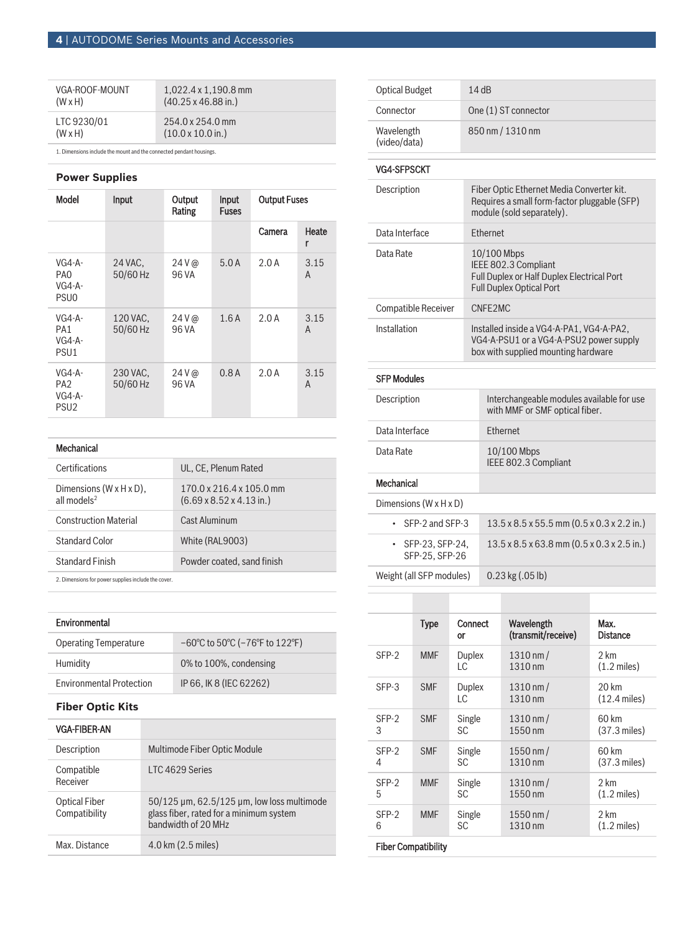| VGA-ROOF-MOUNT | $1.022.4 \times 1.190.8 \text{ mm}$ |
|----------------|-------------------------------------|
| $(W \times H)$ | $(40.25 \times 46.88 \text{ in.})$  |
| LTC 9230/01    | $254.0 \times 254.0$ mm             |
| $(W \times H)$ | $(10.0 \times 10.0 \text{ in.})$    |

1. Dimensions include the mount and the connected pendant housings.

# **Power Supplies**

| <b>Model</b>                                                | Input                | Output<br>Rating | Input<br><b>Fuses</b> | <b>Output Fuses</b> |            |
|-------------------------------------------------------------|----------------------|------------------|-----------------------|---------------------|------------|
|                                                             |                      |                  |                       | Camera              | Heate<br>r |
| $VG4-A-$<br>PA <sub>0</sub><br>$VG4-A-$<br>PSU <sub>0</sub> | 24 VAC.<br>50/60 Hz  | $24V$ @<br>96 VA | 5.0A                  | 2.0A                | 3.15<br>A  |
| $VG4-A-$<br>PA <sub>1</sub><br>$VG4-A-$<br>PSU <sub>1</sub> | 120 VAC,<br>50/60 Hz | $24V$ @<br>96 VA | 1.6A                  | 2.0A                | 3.15<br>A  |
| $VG4-A-$<br>PA <sub>2</sub><br>$VG4-A-$<br>PSU <sub>2</sub> | 230 VAC.<br>50/60 Hz | $24V$ @<br>96 VA | 0.8A                  | 2.0A                | 3.15<br>A  |

|  | Mechanical |  |
|--|------------|--|
|  |            |  |
|  |            |  |

| Certifications                                                  | UL, CE, Plenum Rated                                                                 |
|-----------------------------------------------------------------|--------------------------------------------------------------------------------------|
| Dimensions $(W \times H \times D)$ ,<br>all models <sup>2</sup> | $170.0 \times 216.4 \times 105.0$ mm<br>$(6.69 \times 8.52 \times 4.13 \text{ in.})$ |
| <b>Construction Material</b>                                    | <b>Cast Aluminum</b>                                                                 |
| Standard Color                                                  | White (RAL9003)                                                                      |
| <b>Standard Finish</b>                                          | Powder coated, sand finish                                                           |
|                                                                 |                                                                                      |

2. Dimensions for power supplies include the cover.

# Environmental

| <b>Operating Temperature</b>    | $-60^{\circ}$ C to 50 $^{\circ}$ C ( $-76^{\circ}$ F to 122 $^{\circ}$ F) |
|---------------------------------|---------------------------------------------------------------------------|
| Humidity                        | 0% to 100%, condensing                                                    |
| <b>Environmental Protection</b> | IP 66. IK 8 (IEC 62262)                                                   |

# **Fiber Optic Kits**

| VGA-FIBER-AN                   |                                                                                                                |
|--------------------------------|----------------------------------------------------------------------------------------------------------------|
| Description                    | Multimode Fiber Optic Module                                                                                   |
| Compatible<br>Receiver         | LTC 4629 Series                                                                                                |
| Optical Fiber<br>Compatibility | $50/125$ µm, 62.5/125 µm, low loss multimode<br>glass fiber, rated for a minimum system<br>bandwidth of 20 MHz |
| Max. Distance                  | 4.0 km (2.5 miles)                                                                                             |

| <b>Optical Budget</b>                  |                                                                                                                            | 14dB                                                                                                                   |  |
|----------------------------------------|----------------------------------------------------------------------------------------------------------------------------|------------------------------------------------------------------------------------------------------------------------|--|
| Connector                              |                                                                                                                            | One (1) ST connector                                                                                                   |  |
| Wavelength<br>(video/data)             |                                                                                                                            | 850 nm / 1310 nm                                                                                                       |  |
| <b>VG4-SFPSCKT</b>                     |                                                                                                                            |                                                                                                                        |  |
| Description                            |                                                                                                                            | Fiber Optic Ethernet Media Converter kit.<br>Requires a small form-factor pluggable (SFP)<br>module (sold separately). |  |
| Data Interface                         |                                                                                                                            | Ethernet                                                                                                               |  |
| Data Rate                              |                                                                                                                            | 10/100 Mbps<br>IEEE 802.3 Compliant<br>Full Duplex or Half Duplex Electrical Port<br><b>Full Duplex Optical Port</b>   |  |
| Compatible Receiver                    |                                                                                                                            | CNFF <sub>2</sub> MC                                                                                                   |  |
| Installation                           | Installed inside a VG4-A-PA1, VG4-A-PA2,<br>VG4-A-PSU1 or a VG4-A-PSU2 power supply<br>box with supplied mounting hardware |                                                                                                                        |  |
| <b>SFP Modules</b>                     |                                                                                                                            |                                                                                                                        |  |
| Description                            |                                                                                                                            | Interchangeable modules available for use<br>with MMF or SMF optical fiber.                                            |  |
| Data Interface                         |                                                                                                                            | <b>Ethernet</b>                                                                                                        |  |
| Data Rate                              |                                                                                                                            | 10/100 Mbps<br>IEEE 802.3 Compliant                                                                                    |  |
| Mechanical                             |                                                                                                                            |                                                                                                                        |  |
| Dimensions (W x H x D)                 |                                                                                                                            |                                                                                                                        |  |
| SFP-2 and SFP-3                        |                                                                                                                            | $13.5 \times 8.5 \times 55.5$ mm (0.5 $\times$ 0.3 $\times$ 2.2 in.)                                                   |  |
| SFP-23, SFP-24,<br>٠<br>SFP-25, SFP-26 |                                                                                                                            | $13.5 \times 8.5 \times 63.8$ mm (0.5 $\times$ 0.3 $\times$ 2.5 in.)                                                   |  |
| Weight (all SFP modules)               |                                                                                                                            | 0.23 kg (.05 lb)                                                                                                       |  |

|       | <b>Type</b> | Connect<br>or        | Wavelength<br>(transmit/receive) | Max.<br><b>Distance</b>                    |
|-------|-------------|----------------------|----------------------------------|--------------------------------------------|
| SFP-2 | <b>MMF</b>  | <b>Duplex</b><br>I C | $1310 \, \text{nm}$ /<br>1310 nm | 2 km<br>$(1.2 \text{ miles})$              |
| SFP-3 | <b>SMF</b>  | Duplex<br>I C        | $1310 \, \text{nm}$ /<br>1310 nm | $20 \mathrm{km}$<br>$(12.4 \text{ miles})$ |
| SFP-2 | <b>SMF</b>  | Single               | $1310 \, \text{nm}$ /            | 60 km                                      |
| 3     |             | <b>SC</b>            | 1550 nm                          | $(37.3 \text{ miles})$                     |
| SFP-2 | <b>SMF</b>  | Single               | $1550 \, \text{nm}$ /            | 60 km                                      |
| 4     |             | SC.                  | 1310 nm                          | $(37.3 \text{ miles})$                     |
| SFP-2 | <b>MMF</b>  | Single               | $1310 \, \text{nm}$ /            | 2 km                                       |
| 5     |             | SC.                  | 1550 nm                          | $(1.2 \text{ miles})$                      |
| SFP-2 | <b>MMF</b>  | Single               | $1550 \, \text{nm}$ /            | 2 km                                       |
| 6     |             | <b>SC</b>            | 1310 nm                          | $(1.2 \text{ miles})$                      |

# Fiber Compatibility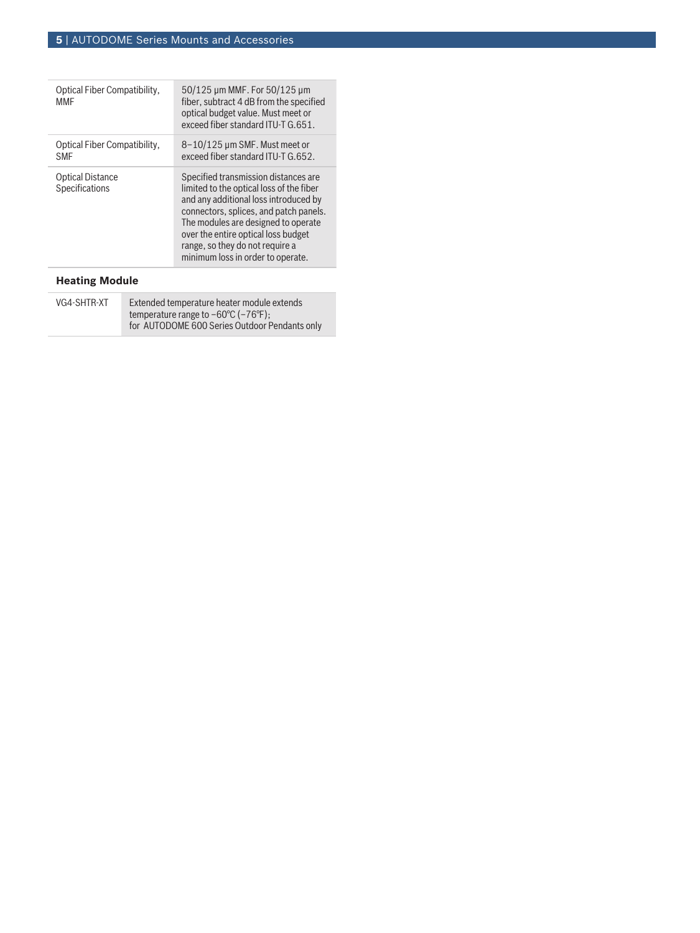| 8-10/125 µm SMF. Must meet or<br>Optical Fiber Compatibility,<br>exceed fiber standard ITU-T G.652.<br><b>SMF</b><br><b>Optical Distance</b><br>Specified transmission distances are<br>Specifications<br>limited to the optical loss of the fiber<br>and any additional loss introduced by<br>connectors, splices, and patch panels.<br>The modules are designed to operate<br>over the entire optical loss budget<br>range, so they do not require a<br>minimum loss in order to operate. | Optical Fiber Compatibility,<br>MMF | 50/125 µm MMF. For 50/125 µm<br>fiber, subtract 4 dB from the specified<br>optical budget value. Must meet or<br>exceed fiber standard ITU-T G.651. |
|---------------------------------------------------------------------------------------------------------------------------------------------------------------------------------------------------------------------------------------------------------------------------------------------------------------------------------------------------------------------------------------------------------------------------------------------------------------------------------------------|-------------------------------------|-----------------------------------------------------------------------------------------------------------------------------------------------------|
|                                                                                                                                                                                                                                                                                                                                                                                                                                                                                             |                                     |                                                                                                                                                     |
|                                                                                                                                                                                                                                                                                                                                                                                                                                                                                             |                                     |                                                                                                                                                     |

# **Heating Module**

| VG4-SHTR-XT | Extended temperature heater module extends               |
|-------------|----------------------------------------------------------|
|             | temperature range to $-60^{\circ}$ C ( $-76^{\circ}$ F); |
|             | for AUTODOME 600 Series Outdoor Pendants only            |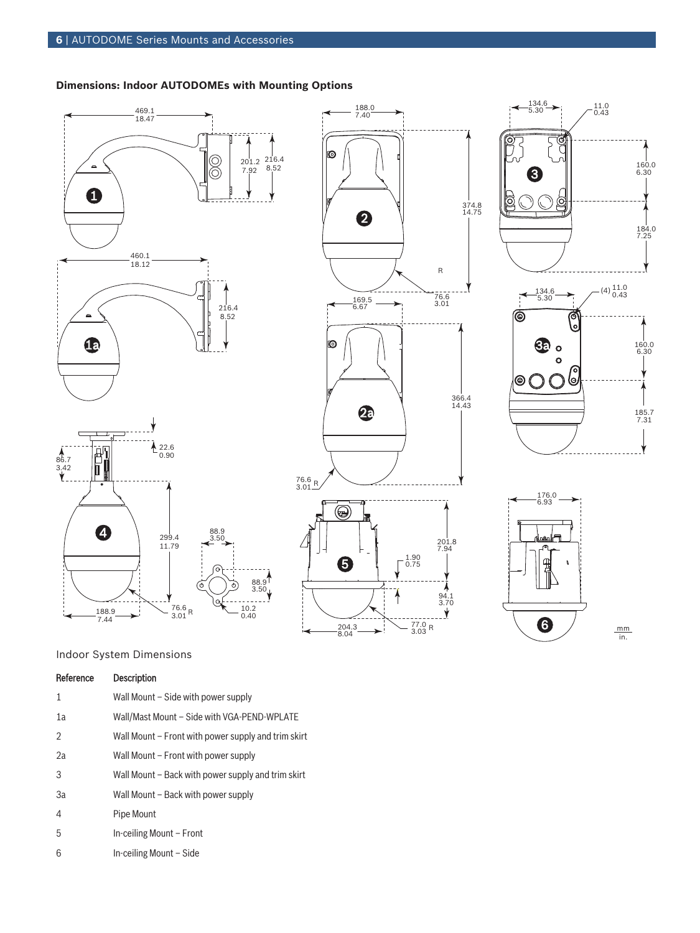# **Dimensions: Indoor AUTODOMEs with Mounting Options**











mm in.

# Indoor System Dimensions

| <b>Description</b> |
|--------------------|
|                    |

- 1 Wall Mount Side with power supply
- 1a Wall/Mast Mount Side with VGA-PEND-WPLATE
- 2 Wall Mount Front with power supply and trim skirt
- 2a Wall Mount Front with power supply
- 3 Wall Mount Back with power supply and trim skirt
- 3a Wall Mount Back with power supply
- 4 Pipe Mount
- 5 In-ceiling Mount Front
- 6 In-ceiling Mount Side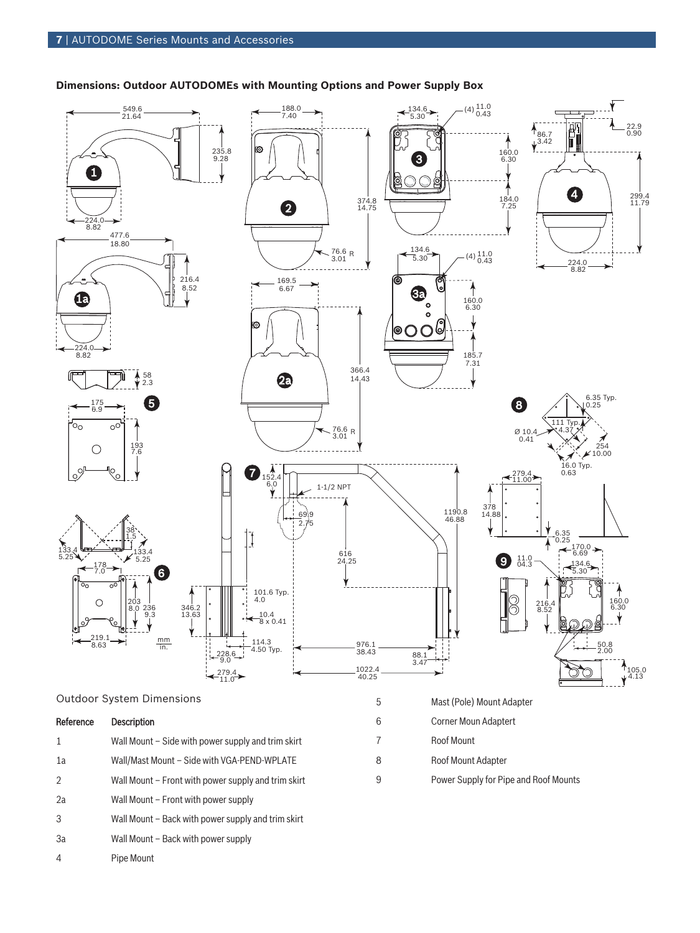

# **Dimensions: Outdoor AUTODOMEs with Mounting Options and Power Supply Box**



# Reference Description

- 1 Wall Mount Side with power supply and trim skirt
- 1a Wall/Mast Mount Side with VGA-PEND-WPLATE
- 2 Wall Mount Front with power supply and trim skirt
- 2a Wall Mount Front with power supply
- 3 Wall Mount Back with power supply and trim skirt
- 3a Wall Mount Back with power supply
- 4 Pipe Mount
- 5 Mast (Pole) Mount Adapter 6 Corner Moun Adaptert 7 Roof Mount 8 Roof Mount Adapter
- 9 Power Supply for Pipe and Roof Mounts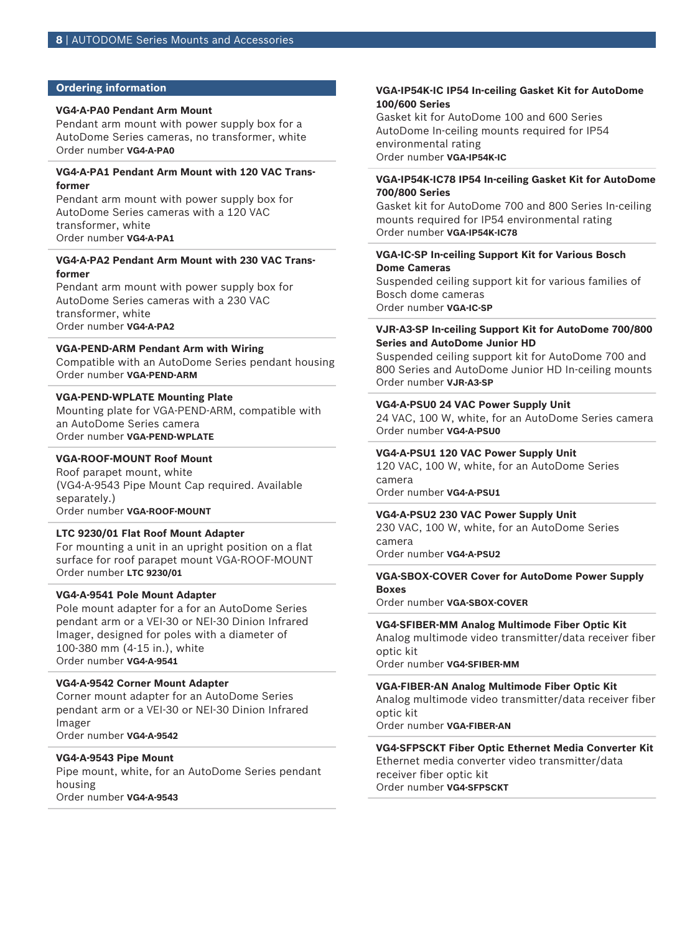#### **Ordering information**

#### **VG4-A-PA0 Pendant Arm Mount**

Pendant arm mount with power supply box for a AutoDome Series cameras, no transformer, white Order number **VG4-A-PA0**

#### **VG4-A-PA1 Pendant Arm Mount with 120 VAC Transformer**

Pendant arm mount with power supply box for AutoDome Series cameras with a 120 VAC transformer, white Order number **VG4-A-PA1**

#### **VG4-A-PA2 Pendant Arm Mount with 230 VAC Transformer**

Pendant arm mount with power supply box for AutoDome Series cameras with a 230 VAC transformer, white Order number **VG4-A-PA2**

#### **VGA-PEND-ARM Pendant Arm with Wiring**

Compatible with an AutoDome Series pendant housing Order number **VGA-PEND-ARM**

#### **VGA-PEND-WPLATE Mounting Plate**

Mounting plate for VGA-PEND-ARM, compatible with an AutoDome Series camera Order number **VGA-PEND-WPLATE**

# **VGA-ROOF-MOUNT Roof Mount**

Roof parapet mount, white (VG4-A-9543 Pipe Mount Cap required. Available separately.) Order number **VGA-ROOF-MOUNT**

#### **LTC 9230/01 Flat Roof Mount Adapter**

For mounting a unit in an upright position on a flat surface for roof parapet mount VGA-ROOF-MOUNT Order number **LTC 9230/01**

#### **VG4-A-9541 Pole Mount Adapter**

Pole mount adapter for a for an AutoDome Series pendant arm or a VEI-30 or NEI-30 Dinion Infrared Imager, designed for poles with a diameter of 100‑380 mm (4‑15 in.), white Order number **VG4-A-9541**

#### **VG4-A-9542 Corner Mount Adapter**

Corner mount adapter for an AutoDome Series pendant arm or a VEI-30 or NEI-30 Dinion Infrared Imager Order number **VG4-A-9542**

#### **VG4-A-9543 Pipe Mount**

Pipe mount, white, for an AutoDome Series pendant housing Order number **VG4-A-9543**

#### **VGA-IP54K-IC IP54 In-ceiling Gasket Kit for AutoDome 100/600 Series**

Gasket kit for AutoDome 100 and 600 Series AutoDome In-ceiling mounts required for IP54 environmental rating Order number **VGA-IP54K-IC**

#### **VGA-IP54K-IC78 IP54 In-ceiling Gasket Kit for AutoDome 700/800 Series**

Gasket kit for AutoDome 700 and 800 Series In-ceiling mounts required for IP54 environmental rating Order number **VGA-IP54K-IC78**

#### **VGA-IC-SP In-ceiling Support Kit for Various Bosch Dome Cameras**

Suspended ceiling support kit for various families of Bosch dome cameras Order number **VGA-IC-SP**

#### **VJR-A3-SP In-ceiling Support Kit for AutoDome 700/800 Series and AutoDome Junior HD**

Suspended ceiling support kit for AutoDome 700 and 800 Series and AutoDome Junior HD In-ceiling mounts Order number **VJR-A3-SP**

#### **VG4-A-PSU0 24 VAC Power Supply Unit**

24 VAC, 100 W, white, for an AutoDome Series camera Order number **VG4-A-PSU0**

#### **VG4-A-PSU1 120 VAC Power Supply Unit**

120 VAC, 100 W, white, for an AutoDome Series camera

Order number **VG4-A-PSU1**

# **VG4-A-PSU2 230 VAC Power Supply Unit**

230 VAC, 100 W, white, for an AutoDome Series camera

Order number **VG4-A-PSU2**

### **VGA-SBOX-COVER Cover for AutoDome Power Supply Boxes**

Order number **VGA-SBOX-COVER**

#### **VG4-SFIBER-MM Analog Multimode Fiber Optic Kit**

Analog multimode video transmitter/data receiver fiber optic kit

Order number **VG4-SFIBER-MM**

#### **VGA-FIBER-AN Analog Multimode Fiber Optic Kit**

Analog multimode video transmitter/data receiver fiber optic kit

Order number **VGA-FIBER-AN**

# **VG4‑SFPSCKT Fiber Optic Ethernet Media Converter Kit**

Ethernet media converter video transmitter/data receiver fiber optic kit Order number **VG4-SFPSCKT**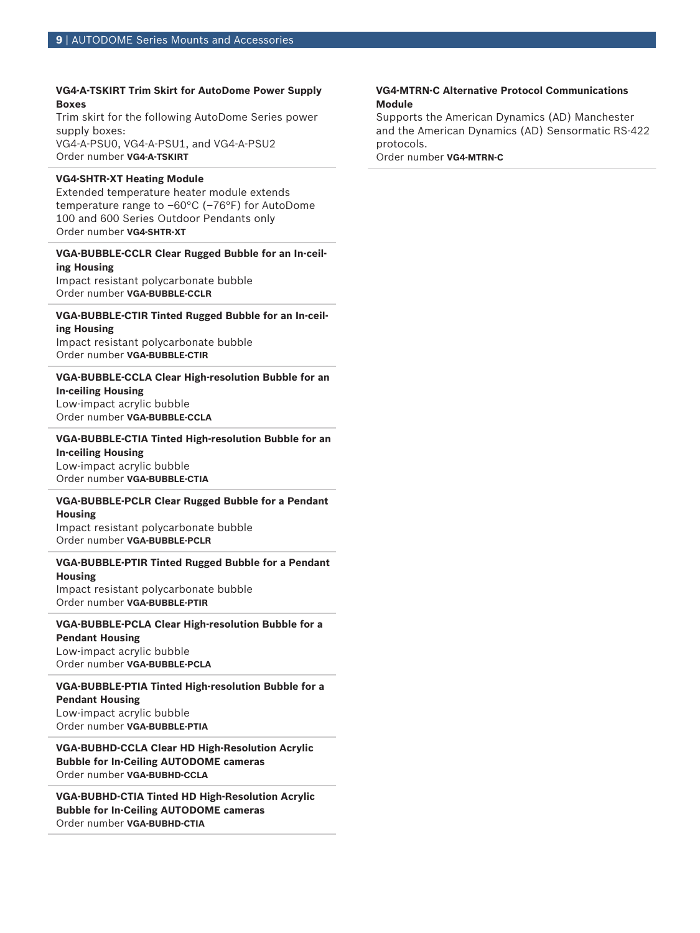# **VG4-A-TSKIRT Trim Skirt for AutoDome Power Supply Boxes**

Trim skirt for the following AutoDome Series power supply boxes: VG4-A-PSU0, VG4-A-PSU1, and VG4-A-PSU2

Order number **VG4-A-TSKIRT**

#### **VG4-SHTR-XT Heating Module**

Extended temperature heater module extends temperature range to –60°C (–76°F) for AutoDome 100 and 600 Series Outdoor Pendants only Order number **VG4-SHTR-XT**

#### **VGA-BUBBLE-CCLR Clear Rugged Bubble for an In-ceiling Housing**

Impact resistant polycarbonate bubble Order number **VGA-BUBBLE-CCLR**

#### **VGA-BUBBLE-CTIR Tinted Rugged Bubble for an In-ceiling Housing**

Impact resistant polycarbonate bubble Order number **VGA-BUBBLE-CTIR**

# **VGA-BUBBLE-CCLA Clear High-resolution Bubble for an**

#### **In-ceiling Housing**

Low-impact acrylic bubble Order number **VGA-BUBBLE-CCLA**

# **VGA-BUBBLE-CTIA Tinted High-resolution Bubble for an In-ceiling Housing** Low-impact acrylic bubble

Order number **VGA-BUBBLE-CTIA**

# **VGA-BUBBLE-PCLR Clear Rugged Bubble for a Pendant Housing**

Impact resistant polycarbonate bubble Order number **VGA-BUBBLE-PCLR**

# **VGA-BUBBLE-PTIR Tinted Rugged Bubble for a Pendant**

**Housing** Impact resistant polycarbonate bubble Order number **VGA-BUBBLE-PTIR**

#### **VGA-BUBBLE-PCLA Clear High-resolution Bubble for a Pendant Housing**

Low-impact acrylic bubble Order number **VGA-BUBBLE-PCLA**

#### **VGA-BUBBLE-PTIA Tinted High-resolution Bubble for a Pendant Housing**

Low-impact acrylic bubble Order number **VGA-BUBBLE-PTIA**

**VGA-BUBHD-CCLA Clear HD High-Resolution Acrylic Bubble for In-Ceiling AUTODOME cameras** Order number **VGA-BUBHD-CCLA**

**VGA-BUBHD-CTIA Tinted HD High-Resolution Acrylic Bubble for In-Ceiling AUTODOME cameras** Order number **VGA-BUBHD-CTIA**

### **VG4-MTRN-C Alternative Protocol Communications Module**

Supports the American Dynamics (AD) Manchester and the American Dynamics (AD) Sensormatic RS-422 protocols.

Order number **VG4-MTRN-C**